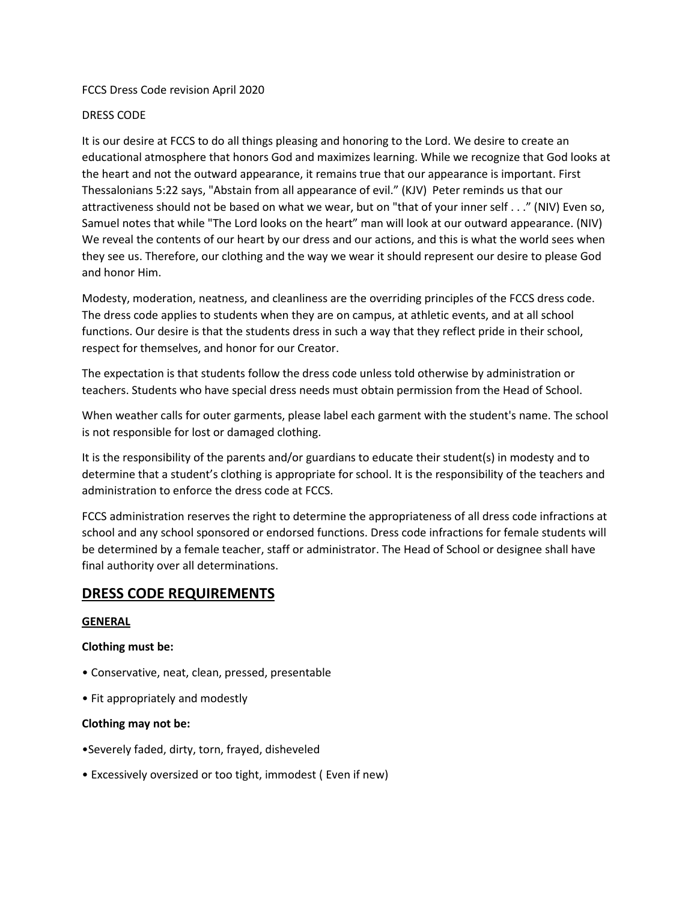### FCCS Dress Code revision April 2020

### DRESS CODE

It is our desire at FCCS to do all things pleasing and honoring to the Lord. We desire to create an educational atmosphere that honors God and maximizes learning. While we recognize that God looks at the heart and not the outward appearance, it remains true that our appearance is important. First Thessalonians 5:22 says, "Abstain from all appearance of evil." (KJV) Peter reminds us that our attractiveness should not be based on what we wear, but on "that of your inner self . . ." (NIV) Even so, Samuel notes that while "The Lord looks on the heart" man will look at our outward appearance. (NIV) We reveal the contents of our heart by our dress and our actions, and this is what the world sees when they see us. Therefore, our clothing and the way we wear it should represent our desire to please God and honor Him.

Modesty, moderation, neatness, and cleanliness are the overriding principles of the FCCS dress code. The dress code applies to students when they are on campus, at athletic events, and at all school functions. Our desire is that the students dress in such a way that they reflect pride in their school, respect for themselves, and honor for our Creator.

The expectation is that students follow the dress code unless told otherwise by administration or teachers. Students who have special dress needs must obtain permission from the Head of School.

When weather calls for outer garments, please label each garment with the student's name. The school is not responsible for lost or damaged clothing.

It is the responsibility of the parents and/or guardians to educate their student(s) in modesty and to determine that a student's clothing is appropriate for school. It is the responsibility of the teachers and administration to enforce the dress code at FCCS.

FCCS administration reserves the right to determine the appropriateness of all dress code infractions at school and any school sponsored or endorsed functions. Dress code infractions for female students will be determined by a female teacher, staff or administrator. The Head of School or designee shall have final authority over all determinations.

# **DRESS CODE REQUIREMENTS**

### **GENERAL**

### **Clothing must be:**

- Conservative, neat, clean, pressed, presentable
- Fit appropriately and modestly

### **Clothing may not be:**

- •Severely faded, dirty, torn, frayed, disheveled
- Excessively oversized or too tight, immodest ( Even if new)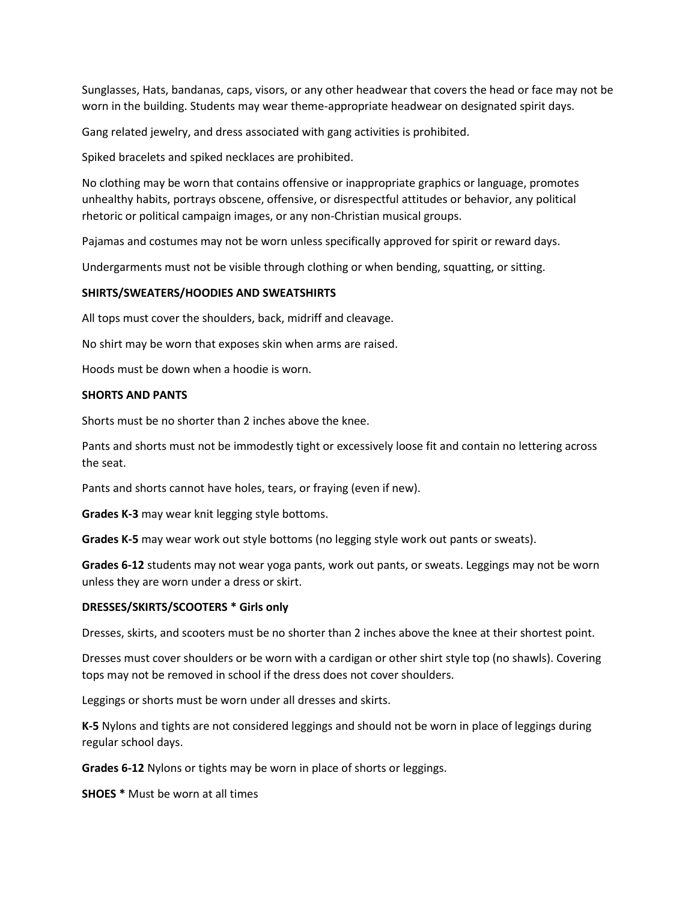Sunglasses, Hats, bandanas, caps, visors, or any other headwear that covers the head or face may not be worn in the building. Students may wear theme-appropriate headwear on designated spirit days.

Gang related jewelry, and dress associated with gang activities is prohibited.

Spiked bracelets and spiked necklaces are prohibited.

No clothing may be worn that contains offensive or inappropriate graphics or language, promotes unhealthy habits, portrays obscene, offensive, or disrespectful attitudes or behavior, any political rhetoric or political campaign images, or any non-Christian musical groups.

Pajamas and costumes may not be worn unless specifically approved for spirit or reward days.

Undergarments must not be visible through clothing or when bending, squatting, or sitting.

### **SHIRTS/SWEATERS/HOODIES AND SWEATSHIRTS**

All tops must cover the shoulders, back, midriff and cleavage.

No shirt may be worn that exposes skin when arms are raised.

Hoods must be down when a hoodie is worn.

### **SHORTS AND PANTS**

Shorts must be no shorter than 2 inches above the knee.

Pants and shorts must not be immodestly tight or excessively loose fit and contain no lettering across the seat.

Pants and shorts cannot have holes, tears, or fraying (even if new).

**Grades K-3** may wear knit legging style bottoms.

**Grades K-5** may wear work out style bottoms (no legging style work out pants or sweats).

**Grades 6-12** students may not wear yoga pants, work out pants, or sweats. Leggings may not be worn unless they are worn under a dress or skirt.

### **DRESSES/SKIRTS/SCOOTERS \* Girls only**

Dresses, skirts, and scooters must be no shorter than 2 inches above the knee at their shortest point.

Dresses must cover shoulders or be worn with a cardigan or other shirt style top (no shawls). Covering tops may not be removed in school if the dress does not cover shoulders.

Leggings or shorts must be worn under all dresses and skirts.

**K-5** Nylons and tights are not considered leggings and should not be worn in place of leggings during regular school days.

**Grades 6-12** Nylons or tights may be worn in place of shorts or leggings.

**SHOES \*** Must be worn at all times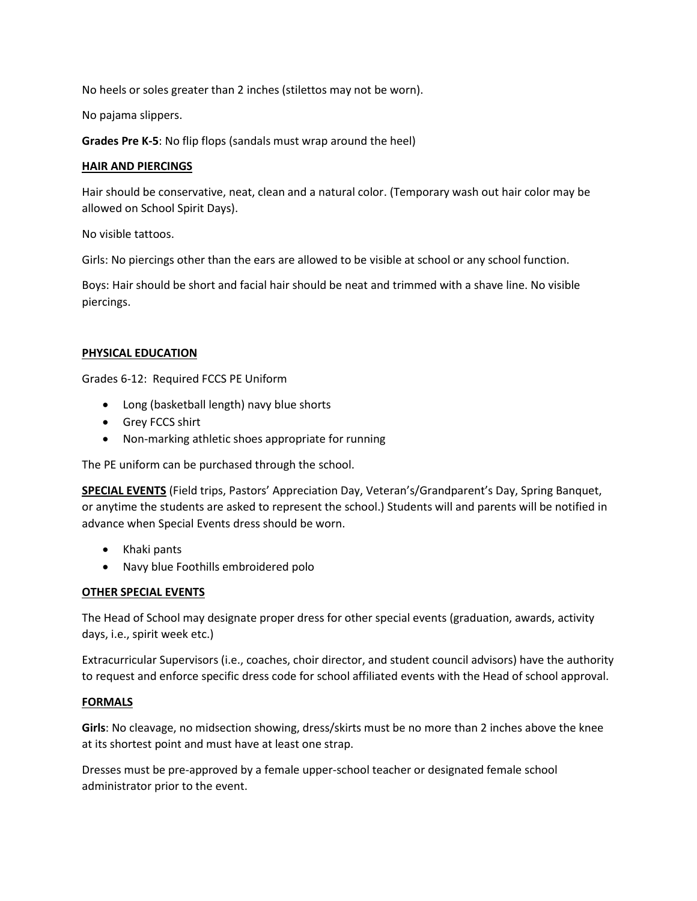No heels or soles greater than 2 inches (stilettos may not be worn).

No pajama slippers.

**Grades Pre K-5**: No flip flops (sandals must wrap around the heel)

### **HAIR AND PIERCINGS**

Hair should be conservative, neat, clean and a natural color. (Temporary wash out hair color may be allowed on School Spirit Days).

No visible tattoos.

Girls: No piercings other than the ears are allowed to be visible at school or any school function.

Boys: Hair should be short and facial hair should be neat and trimmed with a shave line. No visible piercings.

## **PHYSICAL EDUCATION**

Grades 6-12: Required FCCS PE Uniform

- Long (basketball length) navy blue shorts
- Grey FCCS shirt
- Non-marking athletic shoes appropriate for running

The PE uniform can be purchased through the school.

**SPECIAL EVENTS** (Field trips, Pastors' Appreciation Day, Veteran's/Grandparent's Day, Spring Banquet, or anytime the students are asked to represent the school.) Students will and parents will be notified in advance when Special Events dress should be worn.

- Khaki pants
- Navy blue Foothills embroidered polo

# **OTHER SPECIAL EVENTS**

The Head of School may designate proper dress for other special events (graduation, awards, activity days, i.e., spirit week etc.)

Extracurricular Supervisors (i.e., coaches, choir director, and student council advisors) have the authority to request and enforce specific dress code for school affiliated events with the Head of school approval.

### **FORMALS**

**Girls**: No cleavage, no midsection showing, dress/skirts must be no more than 2 inches above the knee at its shortest point and must have at least one strap.

Dresses must be pre-approved by a female upper-school teacher or designated female school administrator prior to the event.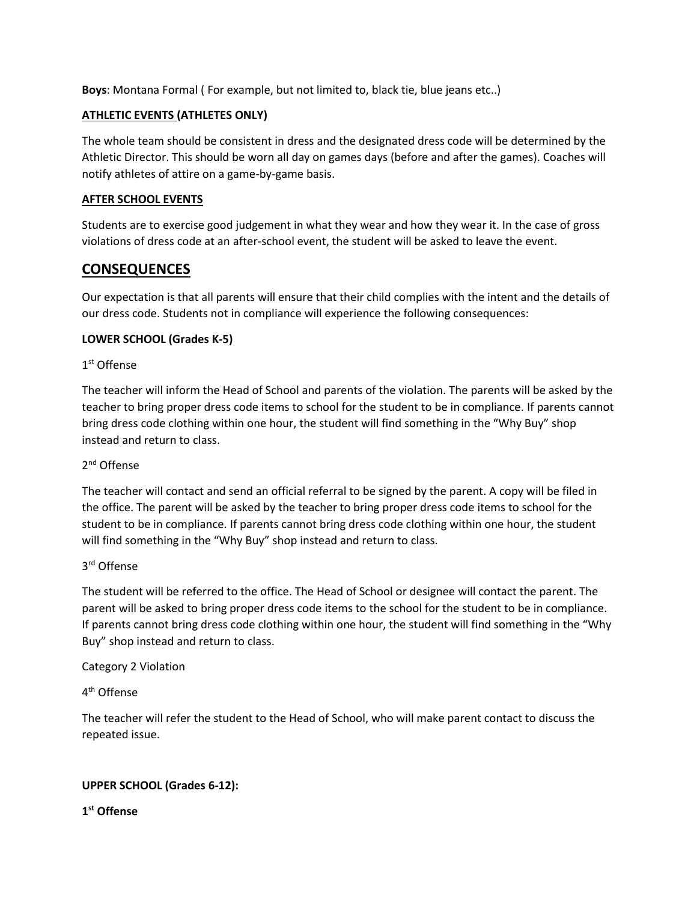**Boys**: Montana Formal ( For example, but not limited to, black tie, blue jeans etc..)

## **ATHLETIC EVENTS (ATHLETES ONLY)**

The whole team should be consistent in dress and the designated dress code will be determined by the Athletic Director. This should be worn all day on games days (before and after the games). Coaches will notify athletes of attire on a game-by-game basis.

### **AFTER SCHOOL EVENTS**

Students are to exercise good judgement in what they wear and how they wear it. In the case of gross violations of dress code at an after-school event, the student will be asked to leave the event.

# **CONSEQUENCES**

Our expectation is that all parents will ensure that their child complies with the intent and the details of our dress code. Students not in compliance will experience the following consequences:

## **LOWER SCHOOL (Grades K-5)**

# 1 st Offense

The teacher will inform the Head of School and parents of the violation. The parents will be asked by the teacher to bring proper dress code items to school for the student to be in compliance. If parents cannot bring dress code clothing within one hour, the student will find something in the "Why Buy" shop instead and return to class.

# 2<sup>nd</sup> Offense

The teacher will contact and send an official referral to be signed by the parent. A copy will be filed in the office. The parent will be asked by the teacher to bring proper dress code items to school for the student to be in compliance. If parents cannot bring dress code clothing within one hour, the student will find something in the "Why Buy" shop instead and return to class.

## 3 rd Offense

The student will be referred to the office. The Head of School or designee will contact the parent. The parent will be asked to bring proper dress code items to the school for the student to be in compliance. If parents cannot bring dress code clothing within one hour, the student will find something in the "Why Buy" shop instead and return to class.

### Category 2 Violation

# 4<sup>th</sup> Offense

The teacher will refer the student to the Head of School, who will make parent contact to discuss the repeated issue.

# **UPPER SCHOOL (Grades 6-12):**

# **1 st Offense**